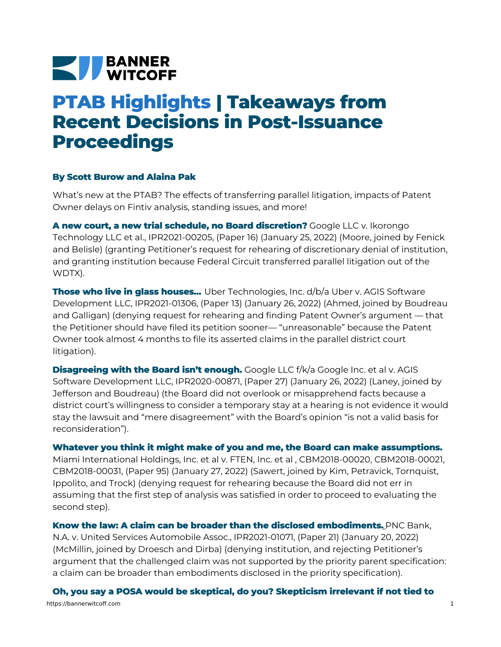## **NEW BANNER**

## **PTAB Highlights | Takeaways from Recent Decisions in Post-Issuance Proceedings**

## **By Scott Burow and Alaina Pak**

What's new at the PTAB? The effects of transferring parallel litigation, impacts of Patent Owner delays on Fintiv analysis, standing issues, and more!

**A new court, a new trial schedule, no Board discretion?** Google LLC v. Ikorongo Technology LLC et al., [IPR2021-00205,](https://bannerwitcoff.com/wp-content/uploads/2022/02/IPR2021-00205.pdf) (Paper 16) (January 25, 2022) (Moore, joined by Fenick and Belisle) (granting Petitioner's request for rehearing of discretionary denial of institution, and granting institution because Federal Circuit transferred parallel litigation out of the WDTX).

**Those who live in glass houses…** Uber Technologies, Inc. d/b/a Uber v. AGIS Software Development LLC, [IPR2021-01306,](https://bannerwitcoff.com/wp-content/uploads/2022/02/IPR2021-01306.pdf) (Paper 13) (January 26, 2022) (Ahmed, joined by Boudreau and Galligan) (denying request for rehearing and finding Patent Owner's argument — that the Petitioner should have filed its petition sooner— "unreasonable" because the Patent Owner took almost 4 months to file its asserted claims in the parallel district court litigation).

**Disagreeing with the Board isn't enough.** Google LLC f/k/a Google Inc. et al v. AGIS Software Development LLC, [IPR2020-00871,](https://bannerwitcoff.com/wp-content/uploads/2022/02/IPR2020-00871.pdf) (Paper 27) (January 26, 2022) (Laney, joined by Jefferson and Boudreau) (the Board did not overlook or misapprehend facts because a district court's willingness to consider a temporary stay at a hearing is not evidence it would stay the lawsuit and "mere disagreement" with the Board's opinion "is not a valid basis for reconsideration").

**Whatever you think it might make of you and me, the Board can make assumptions.**

Miami [International](https://bannerwitcoff.com/wp-content/uploads/2022/02/CBM2018-00020.pdf) Holdings, Inc. et al v. FTEN, Inc. et al , CBM2018-00020, CBM2018-00021, CBM2018-00031, (Paper 95) (January 27, 2022) (Sawert, joined by Kim, Petravick, Tornquist, Ippolito, and Trock) (denying request for rehearing because the Board did not err in assuming that the first step of analysis was satisfied in order to proceed to evaluating the second step).

**Know the law: A claim can be broader than the disclosed [embodiments.](https://bannerwitcoff.com/wp-content/uploads/2022/02/IPR2021-01071.pdf)** PNC Bank, N.A. v. United Services Automobile Assoc., IPR2021-01071, (Paper 21) (January 20, 2022) (McMillin, joined by Droesch and Dirba) (denying institution, and rejecting Petitioner's argument that the challenged claim was not supported by the priority parent specification: a claim can be broader than embodiments disclosed in the priority specification).

**Oh, you say a POSA would be skeptical, do you? Skepticism irrelevant if not tied to** https://bannerwitcoff.com 1